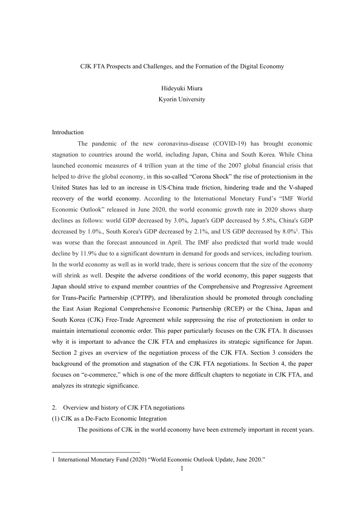# CJK FTA Prospects and Challenges, and the Formation of the Digital Economy

Hideyuki Miura

Kyorin University

# Introduction

The pandemic of the new coronavirus-disease (COVID-19) has brought economic stagnation to countries around the world, including Japan, China and South Korea. While China launched economic measures of 4 trillion yuan at the time of the 2007 global financial crisis that helped to drive the global economy, in this so-called "Corona Shock" the rise of protectionism in the United States has led to an increase in US-China trade friction, hindering trade and the V-shaped recovery of the world economy. According to the International Monetary Fund's "IMF World Economic Outlook" released in June 2020, the world economic growth rate in 2020 shows sharp declines as follows: world GDP decreased by 3.0%, Japan's GDP decreased by 5.8%, China's GDP decreased by [1](#page-0-0).0%., South Korea's GDP decreased by 2.1%, and US GDP decreased by 8.0%<sup>1</sup>. This was worse than the forecast announced in April. The IMF also predicted that world trade would decline by 11.9% due to a significant downturn in demand for goods and services, including tourism. In the world economy as well as in world trade, there is serious concern that the size of the economy will shrink as well. Despite the adverse conditions of the world economy, this paper suggests that Japan should strive to expand member countries of the Comprehensive and Progressive Agreement for Trans-Pacific Partnership (CPTPP), and liberalization should be promoted through concluding the East Asian Regional Comprehensive Economic Partnership (RCEP) or the China, Japan and South Korea (CJK) Free-Trade Agreement while suppressing the rise of protectionism in order to maintain international economic order. This paper particularly focuses on the CJK FTA. It discusses why it is important to advance the CJK FTA and emphasizes its strategic significance for Japan. Section 2 gives an overview of the negotiation process of the CJK FTA. Section 3 considers the background of the promotion and stagnation of the CJK FTA negotiations. In Section 4, the paper focuses on "e-commerce," which is one of the more difficult chapters to negotiate in CJK FTA, and analyzes its strategic significance.

# 2. Overview and history of CJK FTA negotiations

(1) CJK as a De-Facto Economic Integration

The positions of CJK in the world economy have been extremely important in recent years.

<span id="page-0-0"></span><sup>1</sup> International Monetary Fund (2020) "World Economic Outlook Update, June 2020."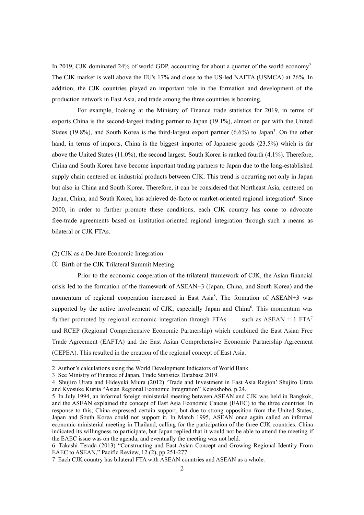In 2019, CJK dominated 24% of world GDP, accounting for about a quarter of the world economy [2](#page-1-0) . The CJK market is well above the EU's 17% and close to the US-led NAFTA (USMCA) at26%. In addition, the CJK countries played an important role in the formation and development of the production network in East Asia, and trade among the three countries is booming.

For example, looking at the Ministry of Finance trade statistics for 2019, in terms of exports China is the second-largest trading partner to Japan (19.1%), almost on par with the United States (19.8%), and South Korea is the third-largest export partner  $(6.6%)$  to Japan<sup>[3](#page-1-1)</sup>. On the other hand, in terms of imports, China is the biggest importer of Japanese goods (23.5%) which is far above the United States (11.0%), the second largest. South Korea is ranked fourth (4.1%). Therefore, China and South Korea have become important trading partners to Japan due to the long-established supply chain centered on industrial products between CJK. This trend is occurring not only in Japan but also in China and South Korea. Therefore, it can be considered that Northeast Asia, centered on Japan, China, and South Korea, has achieved de-facto or market-oriented regional integration [4](#page-1-2) . Since 2000, in order to further promote these conditions, each CJK country has come to advocate free-trade agreements based on institution-oriented regional integration through such a means as bilateral or CJK FTAs.

## (2) CJK as a De-Jure Economic Integration

# ① Birth of the CJK Trilateral Summit Meeting

Prior to the economic cooperation of the trilateral framework of CJK, the Asian financial crisis led to the formation of the framework of ASEAN+3 (Japan, China, and South Korea) and the momentum of regional cooperation increased in East Asia [5](#page-1-3) . The formation of ASEAN+3 was supported by the active involvement of CJK, especially Japan and China<sup>[6](#page-1-4)</sup>. This momentum was further promoted by regional economic integration through FTAs such as ASEAN + 1 FTA<sup>[7](#page-1-5)</sup> and RCEP (Regional Comprehensive Economic Partnership) which combined the East Asian Free Trade Agreement (EAFTA) and the East Asian Comprehensive Economic Partnership Agreement (CEPEA). This resulted in the creation of the regional concept of East Asia.

<span id="page-1-0"></span><sup>2</sup> Author's calculations using the World Development Indicators of World Bank.

<span id="page-1-1"></span><sup>3</sup> See Ministry of Finance of Japan, Trade Statistics Database 2019.

<span id="page-1-2"></span><sup>4</sup> Shujiro Urata and Hideyuki Miura (2012) 'Trade and Investment in East Asia Region' Shujiro Urata and Kyosuke Kurita "Asian Regional Economic Integration" Keisoshobo, p.24.

<span id="page-1-3"></span><sup>5</sup> In July 1994, an informal foreign ministerial meeting between ASEAN and CJK was held in Bangkok, and the ASEAN explained the concept of East Asia Economic Caucus (EAEC) to the three countries. In response to this, China expressed certain support, but due to strong opposition from the United States, Japan and South Korea could not support it. In March 1995, ASEAN once again called an informal economic ministerial meeting in Thailand, calling for the participation of the three CJK countries. China indicated its willingness to participate, but Japan replied that it would not be able to attend the meeting if the EAEC issue was on the agenda, and eventually the meeting was not held.

<span id="page-1-4"></span><sup>6</sup> Takashi Terada (2013) "Constructing and East Asian Concept and Growing Regional Identity From EAEC to ASEAN," Pacific Review, 12 (2), pp.251-277.

<span id="page-1-5"></span><sup>7</sup> Each CJK country has bilateralFTA with ASEAN countries and ASEAN as a whole.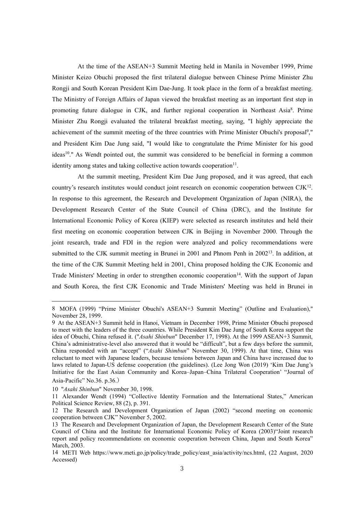At the time of the ASEAN+3 Summit Meeting held in Manila in November 1999, Prime Minister Keizo Obuchi proposed the first trilateral dialogue between Chinese Prime Minister Zhu Rongji and South Korean President Kim Dae-Jung. It took place in the form of a breakfast meeting. The Ministry of Foreign Affairs of Japan viewed the breakfast meeting as an important first step in promoting future dialogue in CJK, and further regional cooperation in Northeast Asia [8](#page-2-0) . Prime Minister Zhu Rongji evaluated the trilateral breakfast meeting, saying, "I highly appreciate the achievement of the summit meeting of the three countries with Prime Minister Obuchi's proposal<sup>[9](#page-2-1)</sup>."  $,''$ and President Kim Dae Jung said, "I would like to congratulate the Prime Minister for his good ideas [10](#page-2-2) ." As Wendt pointed out, the summit was considered to be beneficial in forming a common identity among states and taking collective action towards cooperation<sup>[11](#page-2-3)</sup>. .

At the summit meeting, President Kim Dae Jung proposed, and it was agreed, that each country's research institutes would conduct joint research on economic cooperation between CJK<sup>[12](#page-2-4)</sup>. . In response to this agreement, the Research and Development Organization of Japan (NIRA), the Development Research Center of the State Council of China (DRC), and the Institute for International Economic Policy of Korea (KIEP) were selected as research institutes and held their first meeting on economic cooperation between CJK in Beijing in November 2000. Through the joint research, trade and FDI in the region were analyzed and policy recommendations were submitted to the CJK summit meeting in Brunei in 2001 and Phnom Penh in 2002<sup>[13](#page-2-5)</sup>. In addition, at the time of the CJK Summit Meeting held in 2001, China proposed holding the CJK Economic and Trade Ministers' Meeting in order to strengthen economic cooperation [14](#page-2-6) . With the support of Japan and South Korea, the first CJK Economic and Trade Ministers' Meeting washeld in Brunei in

<span id="page-2-0"></span><sup>8</sup> MOFA (1999) "Prime Minister Obuchi's ASEAN+3 Summit Meeting" (Outline and Evaluation)," November 28,1999.

<span id="page-2-1"></span><sup>9</sup> At the ASEAN+3 Summit held in Hanoi, Vietnam in December 1998, Prime Minister Obuchi proposed to meet with the leaders of the three countries. While President Kim Dae Jung of South Korea support the idea of Obuchi, China refused it. ("*Asahi Shinbun*" December 17,1998). At the 1999 ASEAN+3 Summit, China's administrative-level also answered that it would be "difficult", but a few days before the summit, China responded with an "accept" ("*Asahi Shimbun*" November 30, 1999). At that time, China was reluctant to meet with Japanese leaders, because tensions between Japan and China have increased due to laws related to Japan-US defense cooperation (the guidelines). (Lee Jong Won (2019) 'Kim Dae Jung's Initiative for the East Asian Community and Korea–Japan–China Trilateral Cooperation' "Journal of Asia-Pacific" No.36. p.36.)

<span id="page-2-2"></span><sup>10</sup> "*Asahi Shinbun*" November 30, 1998.

<span id="page-2-3"></span><sup>11</sup> Alexander Wendt (1994) "Collective Identity Formation and the International States," American Political Science Review, 88 (2), p. 391.

<span id="page-2-4"></span><sup>12</sup> The Research and Development Organization of Japan (2002) "second meeting on economic cooperation between CJK" November 5, 2002.

<span id="page-2-5"></span><sup>13</sup> The Research and Development Organization of Japan, the Development Research Center of the State Council of China and the Institute for International Economic Policy of Korea (2003)"Joint research report and policy recommendations on economic cooperation between China, Japan and South Korea" March, 2003.

<span id="page-2-6"></span><sup>14</sup> METI Web [https://www.meti.go.jp/policy/trade\\_policy/east\\_asia/activity/ncs.html](https://www.meti.go.jp/policy/trade_policy/east_asia/activity/ncs.html), (22 August, 2020 Accessed)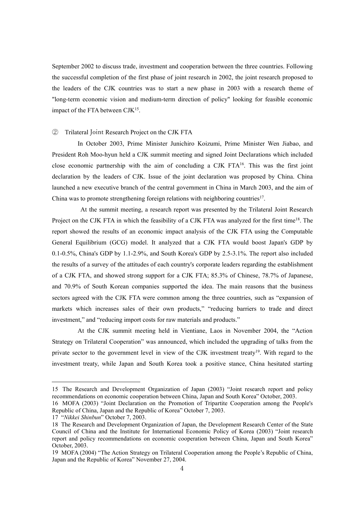September 2002 to discuss trade, investment and cooperation between the three countries. Following the successful completion of the first phase of joint research in 2002, the joint research proposed to the leaders of the CJK countries was to start a new phase in 2003 with a research theme of "long-term economic vision and medium-term direction of policy" looking for feasible economic impact of the FTA between CJK<sup>[15](#page-3-0)</sup>. .

#### ② Trilateral Joint Research Project on the CJK FTA

In October 2003, Prime Minister Junichiro Koizumi, Prime Minister Wen Jiabao, and President Roh Moo-hyun held a CJK summit meeting and signed Joint Declarations which included close economic partnership with the aim of concluding a CJK FTA[16](#page-3-1) . This was the first joint declaration by the leaders of CJK. Issue of the joint declaration was proposed by China. China launched a new executive branch of the central government in China in March 2003, and the aim of China was to promote strengthening foreign relations with neighboring countries [17](#page-3-2) .

At the summit meeting, a research report was presented by the Trilateral Joint Research Project on the CJK FTA in which the feasibility of a CJK FTA was analyzed for the first time<sup>[18](#page-3-3)</sup>. The report showed the results of an economic impactanalysis of the CJK FTA using the Computable General Equilibrium (GCG) model. It analyzed that a CJK FTA would boost Japan's GDP by 0.1-0.5%, China's GDP by 1.1-2.9%, and South Korea's GDP by 2.5-3.1%. The report also included the results of a survey of the attitudes of each country's corporate leaders regarding the establishment of a CJK FTA, and showed strong support for a CJK FTA; 85.3% of Chinese, 78.7% of Japanese, and 70.9% of South Korean companies supported the idea. The main reasons that the business sectors agreed with the CJK FTA were common among the three countries, such as "expansion of markets which increases sales of their own products," "reducing barriers to trade and direct investment," and "reducing import costs for raw materials and products."

At the CJK summit meeting held in Vientiane, Laos in November 2004, the "Action Strategy on Trilateral Cooperation" was announced, which included the upgrading of talks from the private sector to the government level in view of the CJK investment treaty<sup>[19](#page-3-4)</sup>. With regard to the investment treaty, while Japan and South Korea took a positive stance, China hesitated starting

<span id="page-3-0"></span><sup>15</sup> The Research and Development Organization of Japan (2003)"Joint research report and policy recommendations on economic cooperation between China, Japan and South Korea" October,2003. 16 MOFA (2003) "Joint Declaration on the Promotion of Tripartite Cooperation among the People's

<span id="page-3-1"></span>Republic of China, Japan and the Republic of Korea" October 7, 2003.

<span id="page-3-2"></span><sup>17</sup> "*Nikkei Shinbun*" October 7, 2003.

<span id="page-3-3"></span><sup>18</sup> The Research and Development Organization of Japan, the Development Research Center of the State Council of China and the Institute for International Economic Policy of Korea (2003) "Joint research report and policy recommendations on economic cooperation between China, Japan and South Korea" October, 2003.

<span id="page-3-4"></span><sup>19</sup> MOFA (2004) "The Action Strategy on Trilateral Cooperation among the People's Republic of China, Japan and the Republic of Korea" November 27, 2004.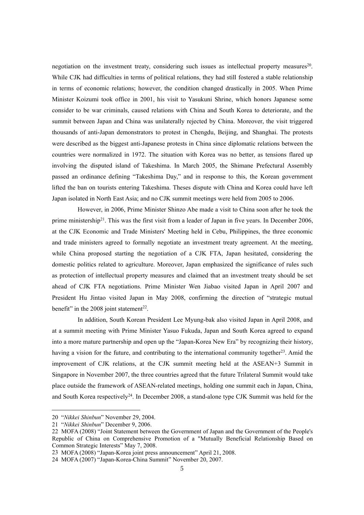negotiation on the investment treaty, considering such issues as intellectual property measures<sup>[20](#page-4-0)</sup>. . While CJK had difficulties in terms of political relations, they had still fostered a stable relationship in terms of economic relations; however, the condition changed drastically in 2005. When Prime Minister Koizumi took office in 2001, his visitto Yasukuni Shrine, which honors Japanese some consider to be war criminals, caused relations with China and South Korea to deteriorate, and the summit between Japan and China was unilaterally rejected by China. Moreover, the visit triggered thousands of anti-Japan demonstrators to protest in Chengdu, Beijing, and Shanghai. The protests were described as the biggestanti-Japanese protests in China since diplomatic relations between the countries were normalized in 1972. The situation with Korea was no better, as tensions flared up involving the disputed island of Takeshima. In March 2005, the Shimane Prefectural Assembly passed an ordinance defining "Takeshima Day," and in response to this, the Korean government lifted the ban on tourists entering Takeshima. Theses dispute with China and Korea could have left Japan isolated in North East Asia; and no CJK summit meetings were held from 2005 to 2006.

However, in 2006, Prime Minister Shinzo Abe made a visit to China soon after he took the prime ministership<sup>[21](#page-4-1)</sup>. This was the first visit from a leader of Japan in five years. In December 2006, at the CJK Economic and Trade Ministers' Meeting held in Cebu, Philippines, the three economic and trade ministers agreed to formally negotiate an investment treaty agreement. At the meeting, while China proposed starting the negotiation of a CJK FTA, Japan hesitated, considering the domestic politics related to agriculture. Moreover, Japan emphasized the significance of rules such as protection of intellectual property measures and claimed that an investment treaty should be set ahead of CJK FTA negotiations. Prime Minister Wen Jiabao visited Japan in April 2007 and President Hu Jintao visited Japan in May 2008, confirming the direction of "strategic mutual benefit" in the 2008 joint statement<sup>[22](#page-4-2)</sup>. .

In addition, South Korean President Lee Myung-bak also visited Japan in April 2008, and at a summit meeting with Prime Minister Yasuo Fukuda, Japan and South Korea agreed to expand into a more mature partnership and open up the "Japan-Korea New Era" by recognizing their history, having a vision for the future, and contributing to the international community together<sup>[23](#page-4-3)</sup>. Amid the improvement of CJK relations, at the CJK summit meeting held at the ASEAN+3 Summit in Singapore in November 2007, the three countries agreed that the future Trilateral Summit would take place outside the framework of ASEAN-related meetings, holding one summit each in Japan, China, and South Korea respectively<sup>[24](#page-4-4)</sup>. In December 2008, a stand-alone type CJK Summit was held for the

<span id="page-4-0"></span><sup>20</sup> "*Nikkei Shinbun*" November 29,2004.

<span id="page-4-1"></span><sup>21</sup> "*Nikkei Shinbun*" December 9, 2006.

<span id="page-4-2"></span><sup>22</sup> MOFA (2008) "Joint Statement between the Government of Japan and the Government of the People's Republic of China on Comprehensive Promotion of a "Mutually Beneficial Relationship Based on Common Strategic Interests" May 7, 2008.

<span id="page-4-3"></span><sup>23</sup> MOFA (2008) "Japan-Korea joint press announcement" April 21, 2008.

<span id="page-4-4"></span><sup>24</sup> MOFA (2007) "Japan-Korea-China Summit" November 20, 2007.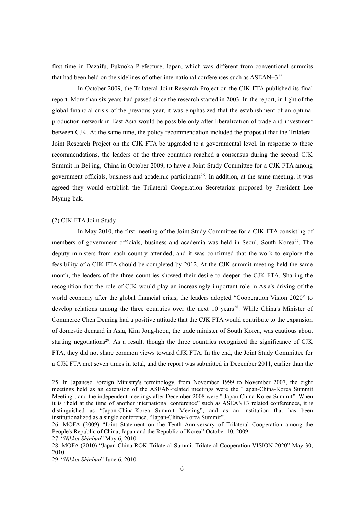first time in Dazaifu, Fukuoka Prefecture, Japan, which was different from conventional summits that had been held on the sidelines of other international conferences such as  $ASEAN+3^{25}$  $ASEAN+3^{25}$  $ASEAN+3^{25}$ . .

In October 2009, the Trilateral Joint Research Project on the CJK FTA published its final report. More than six years had passed since the research started in 2003. In the report, in light of the global financial crisis of the previous year, it was emphasized that the establishment of an optimal production network in East Asia would be possible only after liberalization of trade and investment between CJK. At the same time, the policy recommendation included the proposal that the Trilateral Joint Research Project on the CJK FTA be upgraded to a governmental level. In response to these recommendations, the leaders of the three countries reached a consensus during the second CJK Summit in Beijing, China in October 2009, to have a Joint Study Committee for a CJK FTA among government officials, business and academic participants [26](#page-5-1) . In addition, at the same meeting, it was agreed they would establish the Trilateral Cooperation Secretariats proposed by President Lee Myung-bak.

### (2) CJK FTA Joint Study

In May 2010, the first meeting of the Joint Study Committee for a CJK FTA consisting of members of government officials, business and academia was held in Seoul, South Korea [27](#page-5-2) . The deputy ministers from each country attended, and it was confirmed that the work to explore the feasibility of a CJK FTA should be completed by 2012. At the CJK summit meeting held the same month, the leaders of the three countries showed their desire to deepen the CJK FTA. Sharing the recognition that the role of CJK would play an increasingly important role in Asia's driving of the world economy after the global financial crisis, the leaders adopted "Cooperation Vision 2020" to develop relations among the three countries over the next 10 years [28](#page-5-3) . While China's Minister of Commerce Chen Deming had a positive attitude that the CJK FTA would contribute to the expansion of domestic demand in Asia, Kim Jong-hoon, the trade minister of South Korea, was cautious about starting negotiations<sup>[29](#page-5-4)</sup>. As a result, though the three countries recognized the significance of CJK FTA, they did not share common views toward CJK FTA. In the end, the Joint Study Committee for a CJK FTA met seven times in total, and the reportwas submitted in December 2011, earlier than the

<span id="page-5-0"></span><sup>25</sup> In Japanese Foreign Ministry's terminology, from November 1999 to November 2007, the eight meetings held as an extension of the ASEAN-related meetings were the "Japan-China-Korea Summit Meeting", and the independent meetings after December 2008 were "Japan-China-Korea Summit". When it is "held at the time of another international conference" such as ASEAN+3 related conferences, it is distinguished as "Japan-China-Korea Summit Meeting", and as an institution that has been institutionalized as a single conference, "Japan-China-Korea Summit".

<span id="page-5-1"></span><sup>26</sup> MOFA (2009) "Joint Statement on the Tenth Anniversary of Trilateral Cooperation among the People's Republic of China, Japan and the Republic of Korea" October 10, 2009.

<span id="page-5-2"></span><sup>27</sup> "*Nikkei Shinbun*" May 6, 2010.

<span id="page-5-3"></span><sup>28</sup> MOFA (2010) "Japan-China-ROK Trilateral Summit Trilateral Cooperation VISION 2020" May 30, 2010.

<span id="page-5-4"></span><sup>29</sup> "*Nikkei Shinbun*" June 6, 2010.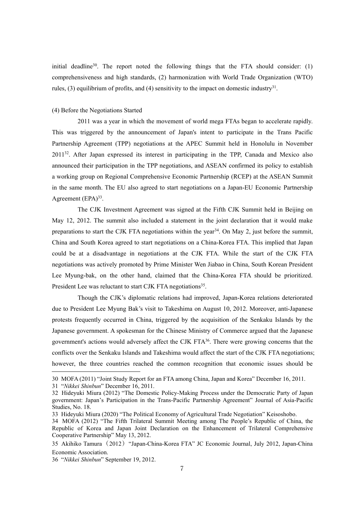initial deadline<sup>[30](#page-6-0)</sup>. The report noted the following things that the FTA should consider: (1) comprehensiveness and high standards, (2) harmonization with World Trade Organization (WTO) rules, (3) equilibrium of profits, and (4) sensitivity to the impact on domestic industry<sup>[31](#page-6-1)</sup>. .

# (4) Before the Negotiations Started

2011 was a year in which the movement of world mega FTAs began to accelerate rapidly. This was triggered by the announcement of Japan's intent to participate in the Trans Pacific Partnership Agreement (TPP) negotiations at the APEC Summit held in Honolulu in November 2011 [32](#page-6-2) . After Japan expressed its interest in participating in the TPP, Canada and Mexico also announced their participation in the TPP negotiations, and ASEAN confirmed its policy to establish a working group on Regional Comprehensive Economic Partnership (RCEP) at the ASEAN Summit in the same month. The EU also agreed to start negotiations on a Japan-EU Economic Partnership Agreement (EPA)<sup>[33](#page-6-3)</sup>. .

The CJK Investment Agreement was signed at the Fifth CJK Summit held in Beijing on May 12, 2012. The summit also included a statement in the joint declaration that it would make preparations to start the CJK FTA negotiations within the year<sup>[34](#page-6-4)</sup>. On May 2, just before the summit, China and South Korea agreed to start negotiations on a China-Korea FTA. This implied that Japan could be at a disadvantage in negotiations at the CJK FTA. While the start of the CJK FTA negotiations was actively promoted by Prime Minister Wen Jiabao in China, South Korean President Lee Myung-bak, on the other hand, claimed that the China-Korea FTA should be prioritized. President Lee was reluctant to start CJK FTA negotiations<sup>[35](#page-6-5)</sup>. .

Though the CJK's diplomatic relations had improved, Japan-Korea relations deteriorated due to President Lee Myung Bak's visit to Takeshima on August 10,2012. Moreover, anti-Japanese protests frequently occurred in China, triggered by the acquisition of the Senkaku Islands by the Japanese government. A spokesman for the Chinese Ministry of Commerce argued that the Japanese government's actions would adversely affect the CJK FTA[36](#page-6-6) . There were growing concerns that the conflicts over the Senkaku Islands and Takeshima would affect the start of the CJK FTA negotiations; however, the three countries reached the common recognition that economic issues should be

<span id="page-6-0"></span><sup>30</sup> MOFA (2011) "Joint Study Report for an FTA among China, Japan and Korea" December 16,2011.

<span id="page-6-1"></span><sup>31</sup> "*Nikkei Shinbun*" December 16,2011.

<span id="page-6-2"></span><sup>32</sup> Hideyuki Miura (2012) "The Domestic Policy-Making Process under the Democratic Party of Japan government: Japan's Participation in the Trans-Pacific Partnership Agreement" Journal of Asia-Pacific Studies, No. 18.

<span id="page-6-3"></span><sup>33</sup> Hideyuki Miura (2020) "The Political Economy of Agricultural Trade Negotiation" Keisoshobo.

<span id="page-6-4"></span><sup>34</sup> MOFA (2012) "The Fifth Trilateral Summit Meeting among The People's Republic of China, the Republic of Korea and Japan Joint Declaration on the Enhancement of Trilateral Comprehensive Cooperative Partnership" May 13, 2012.

<span id="page-6-5"></span><sup>35</sup> Akihiko Tamura(2012)"Japan-China-Korea FTA" JC Economic Journal,July 2012, Japan-China Economic Association.

<span id="page-6-6"></span><sup>36</sup> "*Nikkei Shinbun*" September 19, 2012.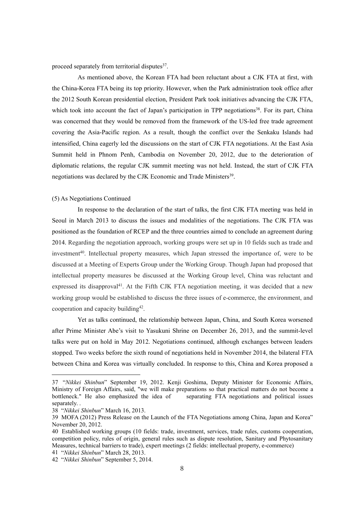proceed separately from territorial disputes<sup>[37](#page-7-0)</sup>. .

As mentioned above, the Korean FTA had been reluctant about a CJK FTA at first, with the China-Korea FTA being its top priority. However, when the Park administration took office after the 2012 South Korean presidential election, President Park took initiatives advancing the CJK FTA, which took into account the fact of Japan's participation in TPP negotiations<sup>[38](#page-7-1)</sup>. For its part, China was concerned that they would be removed from the framework of the US-led free trade agreement covering the Asia-Pacific region. As a result, though the conflict over the Senkaku Islands had intensified, China eagerly led the discussions on the start of CJK FTA negotiations. At the East Asia Summit held in Phnom Penh, Cambodia on November 20, 2012, due to the deterioration of diplomatic relations, the regular CJK summit meeting was not held. Instead, the start of CJK FTA negotiations was declared by the CJK Economic and Trade Ministers<sup>[39](#page-7-2)</sup>. .

# (5) As Negotiations Continued

In response to the declaration of the start of talks, the first CJK FTA meeting was held in Seoul in March 2013 to discuss the issues and modalities of the negotiations. The CJK FTA was positioned as the foundation of RCEP and the three countries aimed to conclude an agreement during 2014. Regarding the negotiation approach, working groups were set up in 10 fields such as trade and investment<sup>[40](#page-7-3)</sup>. Intellectual property measures, which Japan stressed the importance of, were to be discussed at a Meeting of Experts Group under the Working Group. Though Japan had proposed that intellectual property measures be discussed at the Working Group level, China was reluctant and expressed its disapproval<sup>[41](#page-7-4)</sup>. At the Fifth CJK FTA negotiation meeting, it was decided that a new working group would be established to discuss the three issues of e-commerce, the environment, and cooperation and capacity building [42](#page-7-5) .

Yet as talks continued, the relationship between Japan, China, and South Korea worsened after Prime Minister Abe's visit to Yasukuni Shrine on December 26, 2013, and the summit-level talks were put on hold in May 2012. Negotiations continued, although exchanges between leaders stopped. Two weeks before the sixth round of negotiations held in November 2014, the bilateral FTA between China and Korea was virtually concluded. In response to this, China and Korea proposed a

<span id="page-7-0"></span><sup>37</sup> "*Nikkei Shinbun*" September 19, 2012. Kenji Goshima, Deputy Minister for Economic Affairs, Ministry of Foreign Affairs, said, "we will make preparations so that practical matters do not become a bottleneck." He also emphasized the idea of separating FTA negotiations and political issues separately. .

<span id="page-7-1"></span><sup>38</sup> "*Nikkei Shinbun*" March 16, 2013.

<span id="page-7-2"></span><sup>39</sup> MOFA (2012) Press Release on the Launch of the FTA Negotiations among China, Japan and Korea" November 20,2012.

<span id="page-7-3"></span><sup>40</sup> Established working groups (10 fields: trade, investment, services, trade rules, customs cooperation, competition policy, rules of origin, general rules such as dispute resolution, Sanitary and Phytosanitary Measures, technical barriers to trade), expert meetings (2 fields: intellectual property, e-commerce) 41 "*Nikkei Shinbun*" March 28, 2013.

<span id="page-7-5"></span><span id="page-7-4"></span><sup>42</sup> "*Nikkei Shinbun*" September 5, 2014.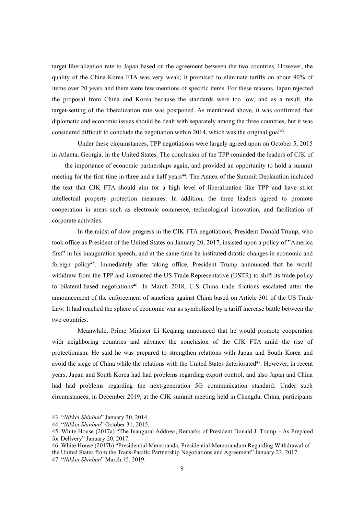target liberalization rate to Japan based on the agreement between the two countries. However, the quality of the China-Korea FTA was very weak; it promised to eliminate tariffs on about 90% of items over 20 years and there were few mentions of specific items. For these reasons, Japan rejected the proposal from China and Korea because the standards were too low, and as a result, the target-setting of the liberalization rate was postponed. As mentioned above, it was confirmed that diplomatic and economic issues should be dealt with separately among the three countries, but it was considered difficult to conclude the negotiation within 2014, which was the original goal<sup>[43](#page-8-0)</sup>. .

Under these circumstances, TPP negotiations were largely agreed upon on October 5, 2015 in Atlanta, Georgia, in the United States. The conclusion of the TPP reminded the leaders of CJK of

the importance of economic partnerships again, and provided an opportunity to hold a summit meeting for the first time in three and a half years [44](#page-8-1) . The Annex of the Summit Declaration included the text that CJK FTA should aim for a high level of liberalization like TPP and have strict intellectual property protection measures. In addition, the three leaders agreed to promote cooperation in areas such as electronic commerce, technological innovation, and facilitation of corporate activities.

In the midst of slow progress in the CJK FTA negotiations, President Donald Trump, who took office as President of the United States on January 20, 2017, insisted upon a policy of "America first" in his inauguration speech, and at the same time he instituted drastic changes in economic and foreign policy [45](#page-8-2) . Immediately after taking office, President Trump announced that he would withdraw from the TPP and instructed the US Trade Representative (USTR) to shift its trade policy to bilateral-based negotiations [46](#page-8-3) . In March 2018, U.S.-China trade frictions escalated after the announcement of the enforcement of sanctions against China based on Article 301 of the US Trade Law. It had reached the sphere of economic war as symbolized by a tariff increase battle between the two countries.

Meanwhile, Prime Minister Li Keqiang announced that he would promote cooperation with neighboring countries and advance the conclusion of the CJK FTA amid the rise of protectionism. He said he was prepared to strengthen relations with Japan and South Korea and avoid the siege of China while the relations with the United States deteriorated [47](#page-8-4) . However, in recent years, Japan and South Korea had had problems regarding export control, and also Japan and China had had problems regarding the next-generation 5G communication standard. Under such circumstances, in December 2019, at the CJK summit meeting held in Chengdu, China, participants

<span id="page-8-0"></span><sup>43</sup> "*Nikkei Shinbun*" January 30, 2014.

<span id="page-8-1"></span><sup>44</sup> "*Nikkei Shinbun*" October 31,2015.

<span id="page-8-2"></span><sup>45</sup> White House (2017a) "The Inaugural Address, Remarks of President Donald J. Trump – As Prepared for Delivery" January 20, 2017.

<span id="page-8-3"></span><sup>46</sup> White House (2017b) "Presidential Memoranda, Presidential Memorandum Regarding Withdrawal of the United States from the Trans-Pacific Partnership Negotiations and Agreement" January 23, 2017.

<span id="page-8-4"></span><sup>47</sup> "*Nikkei Shinbun*" March 15, 2019.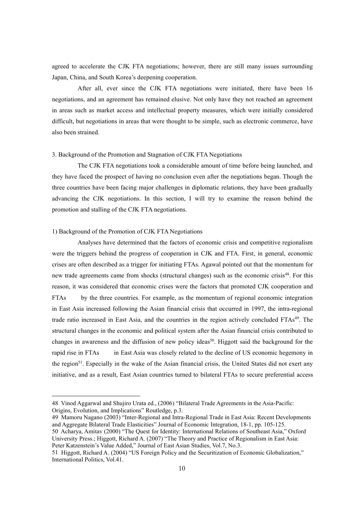agreed to accelerate the CJK FTA negotiations; however, there are still many issues surrounding Japan, China, and South Korea's deepening cooperation.

After all, ever since the CJK FTA negotiations were initiated, there have been 16 negotiations, and an agreement has remained elusive. Not only have they not reached an agreement in areas such as market access and intellectual property measures, which were initially considered difficult, but negotiations in areas that were thought to be simple, such as electronic commerce, have also been strained.

#### 3. Background of the Promotion and Stagnation of CJK FTA Negotiations

The CJK FTA negotiations took a considerable amount of time before being launched, and they have faced the prospect of having no conclusion even after the negotiations began. Though the three countries have been facing major challenges in diplomatic relations, they have been gradually advancing the CJK negotiations. In this section, I will try to examine the reason behind the promotion and stalling of the CJK FTA negotiations.

# 1) Background of the Promotion of CJK FTA Negotiations

Analyses have determined that the factors of economic crisis and competitive regionalism were the triggers behind the progress of cooperation in CJK and FTA. First, in general, economic crises are often described as a trigger for initiating FTAs. Agawal pointed out that the momentum for new trade agreements came from shocks (structural changes) such as the economic crisis<sup>[48](#page-9-0)</sup>. For this reason, it was considered that economic crises were the factors that promoted CJK cooperation and FTAs by the three countries. For example, as the momentum of regional economic integration in East Asia increased following the Asian financial crisis that occurred in 1997, the intra-regional trade ratio increased in East Asia, and the countries in the region actively concluded FTAs [49](#page-9-1) . The structural changes in the economic and political system after the Asian financial crisis contributed to changes in awareness and the diffusion of new policy ideas [50](#page-9-2) . Higgott said the background for the rapid rise in FTAs in East Asia was closely related to the decline of US economic hegemony in the region [51](#page-9-3) . Especially in the wake of the Asian financial crisis, the United States did not exert any initiative, and as a result, East Asian countries turned to bilateral FTAs to secure preferential access

<span id="page-9-2"></span><span id="page-9-1"></span>49 Mamoru Nagano (2003) "Inter-Regional and Intra-Regional Trade in East Asia: Recent Developments and Aggregate Bilateral Trade Elasticities" Journal of Economic Integration, 18-1, pp. 105-125. 50 Acharya, Amitav (2000) "The Quest for Identity: International Relations of Southeast Asia," Oxford University Press.; Higgott, Richard A. (2007) "The Theory and Practice of Regionalism in East Asia: Peter Katzenstein's Value Added," Journal of East Asian Studies, Vol.7, No.3.

<span id="page-9-0"></span><sup>48</sup> Vinod Aggarwal and Shujiro Urata ed., (2006) "Bilateral Trade Agreements in the Asia-Pacific: Origins, Evolution, and Implications" Routledge, p.3.

<span id="page-9-3"></span><sup>51</sup> Higgott, Richard A. (2004) "US Foreign Policy and the Securitization of Economic Globalization," International Politics, Vol.41.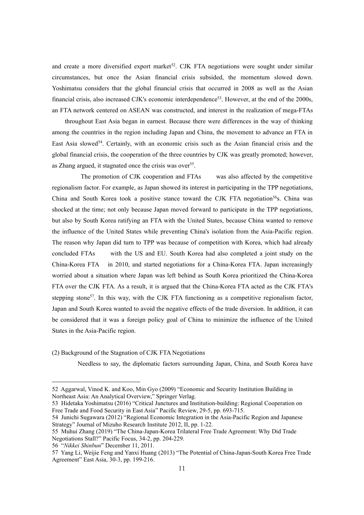and create a more diversified export market<sup>[52](#page-10-0)</sup>. CJK FTA negotiations were sought under similar circumstances, but once the Asian financial crisis subsided, the momentum slowed down. Yoshimatsu considers that the global financial crisis that occurred in 2008 as well as the Asian financial crisis, also increased CJK's economic interdependence [53](#page-10-1) . However, at the end of the 2000s, an FTA network centered on ASEAN was constructed, and interest in the realization of mega-FTAs

throughout East Asia began in earnest. Because there were differences in the way of thinking among the countries in the region including Japan and China, the movement to advance an FTA in East Asia slowed [54](#page-10-2) . Certainly, with an economic crisis such as the Asian financial crisis and the global financial crisis, the cooperation of the three countries by CJK was greatly promoted; however, as Zhang argued, it stagnated once the crisis was over [55](#page-10-3) .

The promotion of CJK cooperation and FTAs was also affected by the competitive regionalism factor. For example, as Japan showed its interest in participating in the TPP negotiations, China and South Korea took a positive stance toward the CJK FTA negotiation [56](#page-10-4)s. China was shocked at the time; not only because Japan moved forward to participate in the TPP negotiations, but also by South Korea ratifying an FTA with the United States, because China wanted to remove the influence of the United States while preventing China's isolation from the Asia-Pacific region. The reason why Japan did turn to TPP was because of competition with Korea, which had already concluded FTAs with the US and EU. South Korea had also completed a joint study on the China-Korea FTA in 2010, and started negotiations for a China-Korea FTA. Japan increasingly worried about a situation where Japan was left behind as South Korea prioritized the China-Korea FTA over the CJK FTA. As a result, it is argued that the China-Korea FTA acted as the CJK FTA's stepping stone [57](#page-10-5) . In this way, with the CJK FTA functioning as a competitive regionalism factor, Japan and South Korea wanted to avoid the negative effects of the trade diversion. In addition, it can be considered that it was a foreign policy goal of China to minimize the influence of the United States in the Asia-Pacific region.

# (2) Background of the Stagnation of CJK FTA Negotiations

Needless to say, the diplomatic factors surrounding Japan, China, and South Korea have

<span id="page-10-0"></span><sup>52</sup> Aggarwal, Vinod K. and Koo, Min Gyo (2009) "Economic and Security Institution Building in Northeast Asia: An Analytical Overview," Springer Verlag.

<span id="page-10-1"></span><sup>53</sup> Hidetaka Yoshimatsu (2016) "Critical Junctures and Institution-building: Regional Cooperation on Free Trade and Food Security in East Asia" Pacific Review, 29-5, pp. 693-715.

<span id="page-10-2"></span><sup>54</sup> Junichi Sugawara (2012) "Regional Economic Integration in the Asia-Pacific Region and Japanese Strategy" Journal of Mizuho Research Institute 2012, II, pp. 1-22.

<span id="page-10-3"></span><sup>55</sup> Muhui Zhang (2019) "The China-Japan-Korea Trilateral Free Trade Agreement: Why Did Trade Negotiations Stall?" Pacific Focus, 34-2, pp. 204-229.

<span id="page-10-4"></span><sup>56</sup> "*Nikkei Shinbun*" December 11, 2011.

<span id="page-10-5"></span><sup>57</sup> Yang Li, Weijie Feng and Yanxi Huang (2013) "The Potential of China-Japan-South Korea Free Trade Agreement" East Asia, 30-3, pp. 199-216.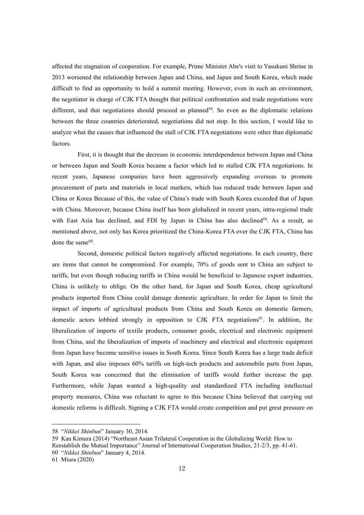affected the stagnation of cooperation. For example, Prime Minister Abe's visit to Yasukuni Shrine in 2013 worsened the relationship between Japan and China, and Japan and South Korea, which made difficult to find an opportunity to hold a summit meeting. However, even in such an environment, the negotiator in charge of CJK FTA thought that political confrontation and trade negotiations were different, and that negotiations should proceed as planned<sup>[58](#page-11-0)</sup>. So even as the diplomatic relations between the three countries deteriorated, negotiations did not stop. In this section, I would like to analyze what the causes that influenced the stall of CJK FTA negotiations were other than diplomatic factors.

First, it is thought that the decrease in economic interdependence between Japan and China or between Japan and South Korea became a factor which led to stalled CJK FTA negotiations. In recent years, Japanese companies have been aggressively expanding overseas to promote procurement of parts and materials in local markets, which has reduced trade between Japan and China or Korea Because of this, the value of China's trade with South Korea exceeded that of Japan with China. Moreover, because China itself has been globalized in recent years, intra-regional trade with East Asia has declined, and FDI by Japan in China has also declined [59](#page-11-1) . As a result, as mentioned above, not only has Korea prioritized the China-Korea FTA over the CJK FTA, China has done the same<sup>[60](#page-11-2)</sup>. .

Second, domestic political factors negatively affected negotiations. In each country, there are items that cannot be compromised. For example, 70% of goods sent to China are subject to tariffs, but even though reducing tariffs in China would be beneficial to Japanese export industries, China is unlikely to oblige. On the other hand, for Japan and South Korea, cheap agricultural products imported from China could damage domestic agriculture. In order for Japan to limit the impact of imports of agricultural products from China and South Korea on domestic farmers, domestic actors lobbied strongly in opposition to CJK FTA negotiations [61](#page-11-3) . In addition, the liberalization of imports of textile products, consumer goods, electrical and electronic equipment from China, and the liberalization of imports of machinery and electrical and electronic equipment from Japan have become sensitive issues in South Korea. Since South Korea has a large trade deficit with Japan, and also imposes 60% tariffs on high-tech products and automobile parts from Japan, South Korea was concerned that the elimination of tariffs would further increase the gap. Furthermore, while Japan wanted ahigh-quality and standardized FTA including intellectual property measures, China was reluctant to agree to this because China believed that carrying out domestic reforms is difficult. Signing a CJK FTA would create competition and put great pressure on

<span id="page-11-0"></span><sup>58</sup> "*Nikkei Shinbun*" January 30, 2014.

<span id="page-11-1"></span><sup>59</sup> Kan Kimura (2014) "Northeast Asian Trilateral Cooperation in the Globalizing World: How to Reestablish the Mutual Importance" Journal of International Cooperation Studies, 21-2/3, pp. 41-61. 60 "*Nikkei Shinbun*" January 4, 2014.

<span id="page-11-3"></span><span id="page-11-2"></span><sup>61</sup> Miura (2020)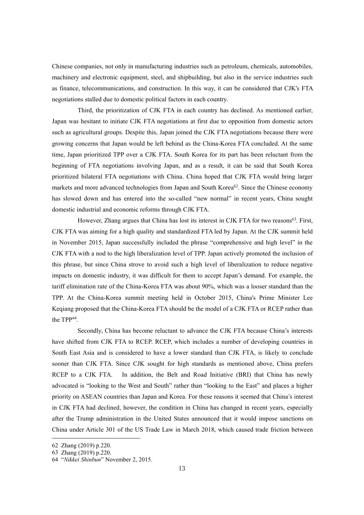Chinese companies, not only in manufacturing industries such as petroleum, chemicals, automobiles, machinery and electronic equipment, steel, and shipbuilding, but also in the service industries such as finance, telecommunications, and construction. In this way, it can be considered that CJK's FTA negotiations stalled due to domestic political factors in each country.

Third, the prioritization of CJK FTA in each country has declined. As mentioned earlier, Japan was hesitant to initiate CJK FTA negotiations at first due to opposition from domestic actors such as agricultural groups. Despite this, Japan joined the CJK FTA negotiations because there were growing concerns that Japan would be left behind as the China-Korea FTA concluded. At the same time, Japan prioritized TPP over a CJK FTA. South Korea for its part has been reluctant from the beginning of FTA negotiations involving Japan, and as a result, it can be said that South Korea prioritized bilateral FTA negotiations with China. China hoped that CJK FTA would bring larger markets and more advanced technologies from Japan and South Korea<sup>[62](#page-12-0)</sup>. Since the Chinese economy has slowed down and has entered into the so-called "new normal" in recent years, China sought domestic industrial and economic reforms through CJK FTA.

However, Zhang argues that China has lost its interest in CJK FTA for two reasons<sup>[63](#page-12-1)</sup>. First, CJK FTA was aiming for a high quality and standardized FTA led by Japan. At the CJK summit held in November 2015, Japan successfully included the phrase "comprehensive and high level" in the CJK FTA with a nod to the high liberalization level of TPP. Japan actively promoted the inclusion of this phrase, but since China strove to avoid such a high level of liberalization to reduce negative impacts on domestic industry, it was difficult for them to accept Japan's demand. For example, the tariff elimination rate of the China-Korea FTA was about 90%, which was a looser standard than the TPP. At the China-Korea summit meeting held in October 2015, China's Prime Minister Lee Keqiang proposed that the China-Korea FTA should be the model of a CJK FTA or RCEP rather than the  $TPP^{64}$  $TPP^{64}$  $TPP^{64}$ .

.Secondly, China has become reluctant to advance the CJK FTA because China's interests have shifted from CJK FTA to RCEP. RCEP, which includes a number of developing countries in South East Asia and is considered to have a lower standard than CJK FTA, is likely to conclude sooner than CJK FTA. Since CJK sought for high standards as mentioned above, China prefers RCEP to a CJK FTA. In addition, the Belt and Road Initiative (BRI) that China has newly advocated is "looking to the West and South" rather than "looking to the East" and places a higher priority on ASEAN countries than Japan and Korea. For these reasons it seemed that China's interest in CJK FTA had declined, however, the condition in China has changed in recent years, especially after the Trump administration in the United States announced that it would impose sanctions on China under Article 301 of the US Trade Law in March 2018, which caused trade friction between

<span id="page-12-0"></span><sup>62</sup> Zhang (2019) p.220.

<span id="page-12-1"></span><sup>63</sup> Zhang (2019) p.220.

<span id="page-12-2"></span><sup>64</sup> "*Nikkei Shinbun*" November 2, 2015.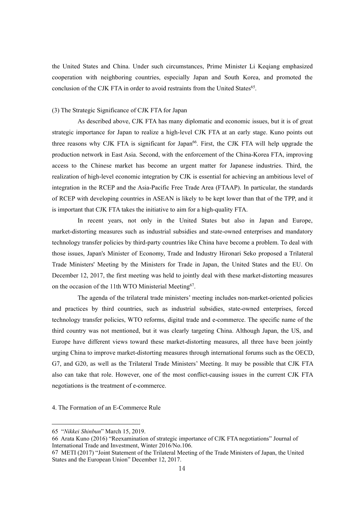the United States and China. Under such circumstances, Prime Minister Li Keqiang emphasized cooperation with neighboring countries, especially Japan and South Korea, and promoted the conclusion of the CJK FTA in order to avoid restraints from the United States [65](#page-13-0) .

# (3) The Strategic Significance of CJK FTA for Japan

As described above, CJK FTA has many diplomatic and economic issues, but it is of great strategic importance for Japan to realize a high-level CJK FTA at an early stage. Kuno points out three reasons why CJK FTA is significant for Japan [66](#page-13-1) . First, the CJK FTA will help upgrade the production network in East Asia. Second, with the enforcement of the China-Korea FTA, improving access to the Chinese market has become an urgent matter for Japanese industries. Third, the realization of high-level economic integration by CJK is essential for achieving an ambitious level of integration in the RCEP and the Asia-Pacific Free Trade Area (FTAAP). In particular, the standards of RCEP with developing countries in ASEAN is likely to be kept lower than that of the TPP, and it is important that CJK FTA takes the initiative to aim for a high-quality FTA.

In recent years, not only in the United States but also in Japan and Europe, market-distorting measures such as industrial subsidies and state-owned enterprises and mandatory technology transfer policies by third-party countries like China have become a problem. To deal with those issues, Japan's Minister of Economy, Trade and Industry Hironari Seko proposed a Trilateral Trade Ministers' Meeting by the Ministers for Trade in Japan, the United States and the EU. On December 12, 2017, the first meeting was held to jointly deal with these market-distorting measures on the occasion of the 11th WTO Ministerial Meeting [67](#page-13-2) .

The agenda of the trilateral trade ministers' meeting includes non-market-oriented policies and practices by third countries, such as industrial subsidies, state-owned enterprises, forced technology transfer policies, WTO reforms, digital trade and e-commerce. The specific name of the third country was not mentioned, but it was clearly targeting China. Although Japan, the US, and Europe have different views toward these market-distorting measures, all three have been jointly urging China to improve market-distorting measures through international forums such as the OECD, G7, and G20, as well as the Trilateral Trade Ministers' Meeting. It may be possible that CJK FTA also can take that role. However, one of the most conflict-causing issues in the current CJK FTA negotiations is the treatment of e-commerce.

4. The Formation of an E-Commerce Rule

<span id="page-13-0"></span><sup>65</sup> "*Nikkei Shinbun*" March 15, 2019.

<span id="page-13-1"></span><sup>66</sup> Arata Kuno (2016) "Reexamination of strategic importance of CJK FTA negotiations" Journal of International Trade and Investment, Winter 2016/No.106.

<span id="page-13-2"></span><sup>67</sup> METI (2017) "Joint Statement of the Trilateral Meeting of the Trade Ministers ofJapan, the United States and the European Union" December 12, 2017.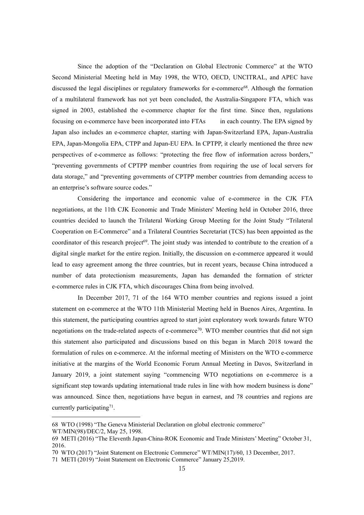Since the adoption of the "Declaration on Global Electronic Commerce" at the WTO Second Ministerial Meeting held in May 1998, the WTO, OECD, UNCITRAL, and APEC have discussed the legal disciplines or regulatory frameworks for e-commerce [68](#page-14-0) . Although the formation of a multilateral framework has not yet been concluded, the Australia-Singapore FTA, which was signed in 2003, established the e-commerce chapter for the first time. Since then, regulations focusing on e-commerce have been incorporated into FTAs in each country. The EPA signed by Japan also includes an e-commerce chapter, starting with Japan-Switzerland EPA, Japan-Australia EPA, Japan-Mongolia EPA, CTPP and Japan-EU EPA. In CPTPP, it clearly mentioned the three new perspectives of e-commerce as follows: "protecting the free flow of information across borders," "preventing governments of CPTPP member countries from requiring the use of local servers for data storage," and "preventing governments of CPTPP member countries from demanding access to an enterprise's software source codes."

Considering the importance and economic value of e-commerce in the CJK FTA negotiations, at the 11th CJK Economic and Trade Ministers' Meeting held in October 2016, three countries decided to launch the Trilateral Working Group Meeting for the Joint Study "Trilateral Cooperation on E-Commerce" and a Trilateral Countries Secretariat (TCS) has been appointed as the coordinator of this research project<sup>[69](#page-14-1)</sup>. The joint study was intended to contribute to the creation of a digital single market for the entire region. Initially, the discussion on e-commerce appeared it would lead to easy agreement among the three countries, but in recent years, because China introduced a number of data protectionism measurements, Japan has demanded the formation of stricter e-commerce rules in CJK FTA, which discourages China from being involved.

In December 2017, 71 of the 164 WTO member countries and regions issued a joint statement on e-commerce at the WTO 11th Ministerial Meeting held in Buenos Aires, Argentina. In this statement, the participating countries agreed to start joint exploratory work towards future WTO negotiations on the trade-related aspects of e-commerce<sup>[70](#page-14-2)</sup>. WTO member countries that did not sign this statement also participated and discussions based on this began in March 2018 toward the formulation of rules on e-commerce. At the informal meeting of Ministers on the WTO e-commerce initiative at the margins of the World Economic Forum Annual Meeting in Davos, Switzerland in January 2019, a joint statement saying "commencing WTO negotiations on e-commerce is a significant step towards updating international trade rules in line with how modern business is done" was announced. Since then, negotiations have begun in earnest, and 78 countries and regions are currently participating<sup>[71](#page-14-3)</sup>. .

<span id="page-14-0"></span><sup>68</sup> WTO (1998) "The Geneva Ministerial Declaration on global electronic commerce"

WT/MIN(98)/DEC/2, May 25, 1998.

<span id="page-14-1"></span><sup>69</sup> METI (2016) "The Eleventh Japan-China-ROK Economic and Trade Ministers' Meeting" October 31,2016.

<span id="page-14-2"></span><sup>70</sup> WTO (2017) "Joint Statement on Electronic Commerce" WT/MIN(17)/60, 13 December, 2017.

<span id="page-14-3"></span><sup>71</sup> METI (2019) "Joint Statement on Electronic Commerce" January 25,2019.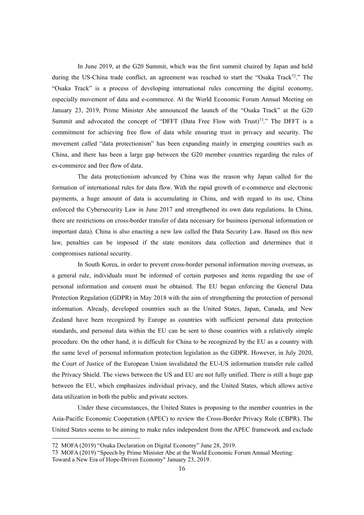In June 2019, at the G20 Summit, which was the first summit chaired by Japan and held during the US-China trade conflict, an agreement was reached to start the "Osaka Track<sup>[72](#page-15-0)</sup>." The "Osaka Track" is a process of developing international rules concerning the digital economy, especially movement of data and e-commerce. At the World Economic Forum Annual Meeting on January 23, 2019, Prime Minister Abe announced the launch of the "Osaka Track" at the G20 Summit and advocated the concept of "DFFT (Data Free Flow with Trust)<sup>[73](#page-15-1)</sup>." The DFFT is a commitment for achieving free flow of data while ensuring trust in privacy and security. The movement called "data protectionism" has been expanding mainly in emerging countries such as China, and there has been a large gap between the G20 member countries regarding the rules of es-commerce and free flow of data.

The data protectionism advanced by China was the reason why Japan called for the formation of international rules for data flow. With the rapid growth of e-commerce and electronic payments, a huge amount of data is accumulating in China, and with regard to its use, China enforced the Cybersecurity Law in June 2017 and strengthened its own data regulations. In China, there are restrictions on cross-border transfer of data necessary for business (personal information or important data). China is also enacting a new law called the Data Security Law. Based on this new law, penalties can be imposed if the state monitors data collection and determines that it compromises national security.

In South Korea, in order to prevent cross-border personal information moving overseas, as a general rule, individuals must be informed of certain purposes and items regarding the use of personal information and consent must be obtained. The EU began enforcing the General Data Protection Regulation (GDPR) in May 2018 with the aim of strengthening the protection of personal information. Already, developed countries such as the United States, Japan, Canada, and New Zealand have been recognized by Europe as countries with sufficient personal data protection standards, and personal data within the EU can be sent to those countries with a relatively simple procedure. On the other hand, it is difficult for China to be recognized by the EU as a country with the same level of personal information protection legislation as the GDPR. However, in July 2020, the Court of Justice of the European Union invalidated the EU-US information transfer rule called the Privacy Shield. The views between the US and EU are not fully unified. There is still a huge gap between the EU, which emphasizes individual privacy, and the United States, which allows active data utilization in both the public and private sectors.

Under these circumstances, the United States is proposing to the member countries in the Asia-Pacific Economic Cooperation (APEC) to review the Cross-Border Privacy Rule (CBPR). The United States seems to be aiming to make rules independent from the APEC framework and exclude

<span id="page-15-0"></span><sup>72</sup> MOFA (2019) "Osaka Declaration on Digital Economy" June 28, 2019.

<span id="page-15-1"></span><sup>73</sup> MOFA (2019) "Speech by Prime Minister Abe at the World Economic Forum Annual Meeting:

Toward a New Era of Hope-Driven Economy" January 23, 2019.